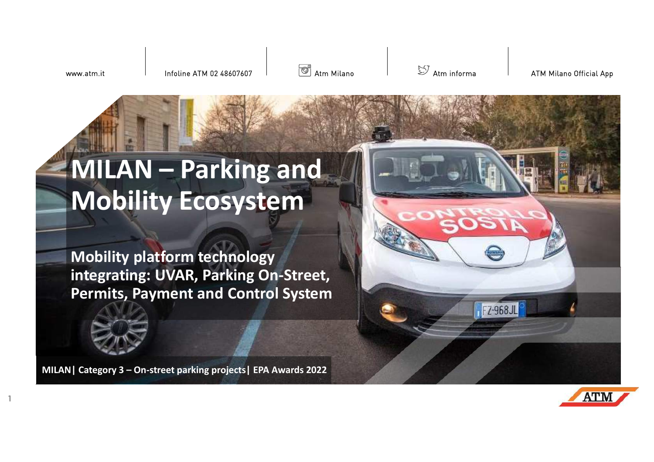www.atm.it

**1**

Infoline ATM 02 48607607

**S** Atm Milano

 $\mathbb S$  Atm informa  $\blacksquare$  ATM Milano Official App

# **MILAN – Parking and Mobility Ecosystem**

**Mobility platform technology integrating: UVAR, Parking On-Street, Permits, Payment and Control System**

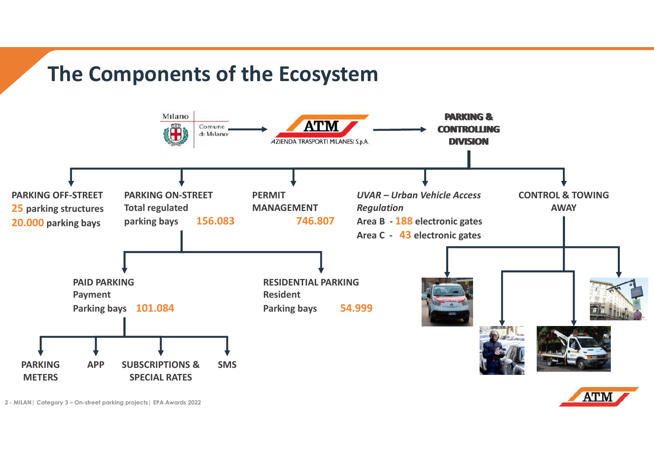### **The Components of the Ecosystem**

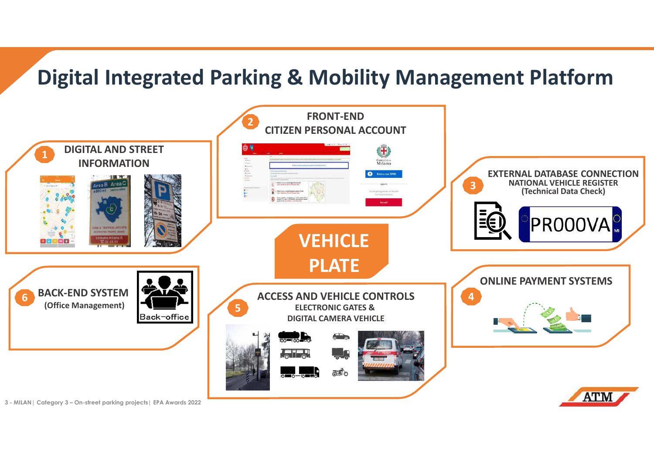# **Digital Integrated Parking & Mobility Management Platform**

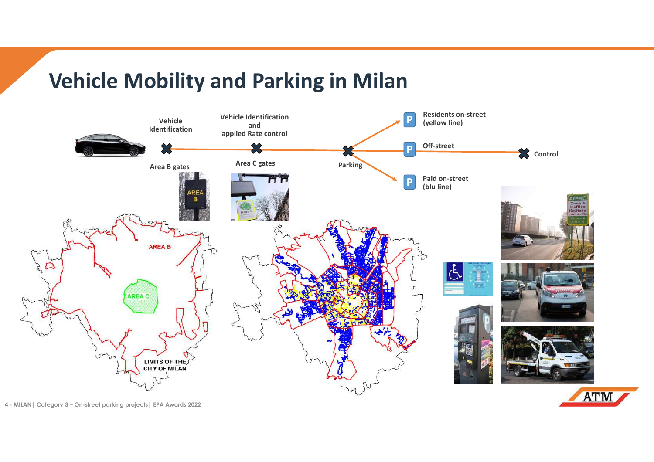# **Vehicle Mobility and Parking in Milan**

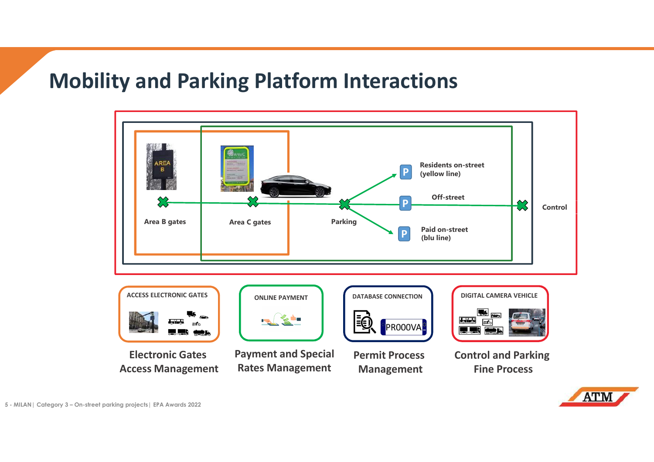### **Mobility and Parking Platform Interactions**



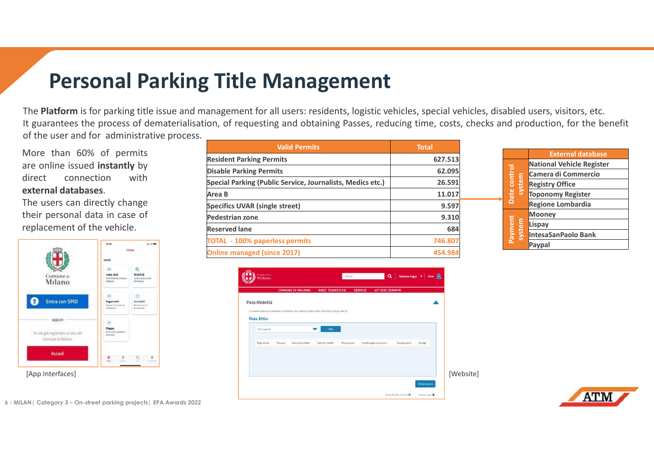# **Personal Parking Title Management**

The **Platform** is for parking title issue and management for all users: residents, logistic vehicles, special vehicles, disabled users, visitors, etc.<br>It guarantees the presess of demoterialisation, of requesting and obtai It guarantees the process of dematerialisation, of requesting and obtaining Passes, reducing time, costs, checks and production, for the benefit of the user and for administrative process.

More than 60% of permits are online issued **instantly** by direct connection with**external databases**.

The users can directly change their personal data in case of replacement of the vehicle.



| <b>Valid Permits</b>                                       | <b>Total</b> |
|------------------------------------------------------------|--------------|
| <b>Resident Parking Permits</b>                            | 627.513      |
| <b>Disable Parking Permits</b>                             | 62.095       |
| Special Parking (Public Service, Journalists, Medics etc.) | 26.591       |
| Area B                                                     | 11.017       |
| <b>Specifics UVAR (single street)</b>                      | 9.597        |
| <b>Pedestrian zone</b>                                     | 9.310        |
| <b>Reserved lane</b>                                       | 684          |
| <b>TOTAL - 100% paperless permits</b>                      | 746.807      |
| <b>Online managed (since 2017)</b>                         | 454.984      |
|                                                            |              |



|                                                                                      |  | <b>External database</b>         |  |
|--------------------------------------------------------------------------------------|--|----------------------------------|--|
| Date control<br>system<br><b>Registry Office</b>                                     |  | <b>National Vehicle Register</b> |  |
|                                                                                      |  | Camera di Commercio              |  |
|                                                                                      |  |                                  |  |
|                                                                                      |  | <b>Toponomy Register</b>         |  |
|                                                                                      |  | <b>Regione Lombardia</b>         |  |
| <b>Mooney</b><br>Payment<br>system<br>Lispay<br><b>IntesaSanPaolo Bank</b><br>Paypal |  |                                  |  |
|                                                                                      |  |                                  |  |
|                                                                                      |  |                                  |  |
|                                                                                      |  |                                  |  |

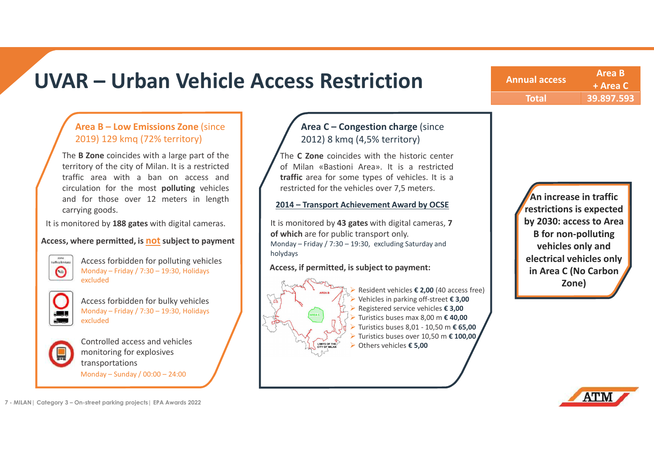### **UVAR – Urban Vehicle Access Restriction**

**Annual access Area B + Area C Total B 1 Total 39.897.593**

### **Area B – Low Emissions Zone** (since 2019) 129 kmq (72% territory)

The **<sup>B</sup> Zone** coincides with <sup>a</sup> large part of the territory of the city of Milan. It is <sup>a</sup> restricted traffic area with <sup>a</sup> ban on access and circulation for the most **polluting** vehicles and for those over <sup>12</sup> meters in lengthcarrying goods.

It is monitored by **<sup>188</sup> gates** with digital cameras.

#### **Access, where permitted, is not subject to payment**

-<br>traffico limitato

 Access forbidden for polluting vehicles Monday – Friday / 7:30 – 19:30, Holidays excluded



 Access forbidden for bulky vehicles Monday – Friday / 7:30 – 19:30, Holidays excluded



 Controlled access and vehicles monitoring for explosivestransportationsMonday – Sunday / 00:00 – 24:00

**<sup>7</sup> - MILAN| Category 3 – On-street parking projects| EPA Awards 2022**

### **Area C – Congestion charge** (since 2012) 8 kmq (4,5% territory)

The **<sup>C</sup> Zone** coincides with the historic center of Milan «Bastioni Area». It is <sup>a</sup> restricted **traffic** area for some types of vehicles. It is <sup>a</sup> restricted for the vehicles over 7,5 meters.

#### **2014 – Transport Achievement Award by OCSE**

It is monitored by **43 gates** with digital cameras, **<sup>7</sup> of which** are for public transport only. Monday – Friday / 7:30 – 19:30, excluding Saturday and holydays

#### **Access, if permitted, is subject to payment:**



 Resident vehicles **€ 2,00** (40 access free) Vehicles in parking off-street **€ 3,00** Registered service vehicles **€ 3,00**  Turistics buses max 8,00 m **€ 40,00**  Turistics buses 8,01 - 10,50 m **€ 65,00**  Turistics buses over 10,50 m **€ 100,00**  Others vehicles **€ 5,00** 

**An increase in traffic restrictions is expected by 2030: access to Area B for non-polluting vehicles only and electrical vehicles only in Area C (No Carbon Zone)**

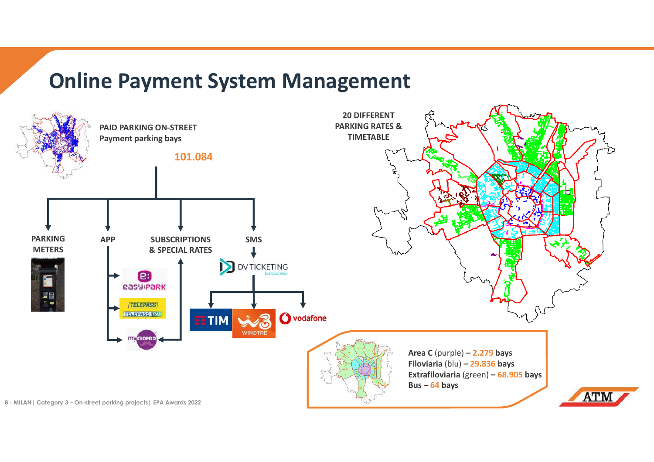### **Online Payment System Management**

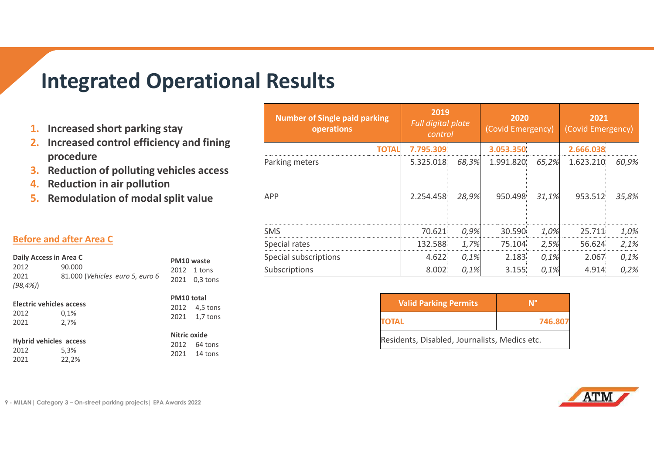### **Integrated Operational Results**

- **1. Increased short parking stay**
- **2. Increased control efficiency and fining procedure**
- **3. Reduction of polluting vehicles access**
- **4.Reduction in air pollution**
- **5. Remodulation of modal split value**

### **Before and after Area C**

| Daily Access in Area C      |                                           |         | PM10 waste                 |
|-----------------------------|-------------------------------------------|---------|----------------------------|
| 2012<br>2021<br>$(98, 4\%)$ | 90.000<br>81.000 (Vehicles euro 5, euro 6 |         | 2012 1 tons<br>2021 0,3 to |
|                             |                                           | ------- |                            |

| 2012 | 0,1% |
|------|------|
| 2021 | 2,7% |

### **Hybrid vehicles access**<br>2012 5,3%

2012 5,3%<br>2021 22.29 <sup>2021</sup> 22,2%

| PM10 total |               |  |  |
|------------|---------------|--|--|
|            | 2012 4,5 tons |  |  |
| 2021       | $1,7$ tons    |  |  |
|            |               |  |  |

### **Nitric oxide**

 <sup>2012</sup> 64 tons <sup>2021</sup> 14 tons

 $0,3$  tons

| <b>Number of Single paid parking</b><br>operations | 2019<br>Full digital plate<br>control |       | 2020<br>(Covid Emergency) |       | 2021<br>(Covid Emergency) |       |
|----------------------------------------------------|---------------------------------------|-------|---------------------------|-------|---------------------------|-------|
| TOTALI                                             | 7.795.309                             |       | 3.053.350                 |       | 2.666.038                 |       |
| Parking meters                                     | 5.325.018                             | 68,3% | 1.991.820                 | 65,2% | 1.623.210                 | 60,9% |
| APP                                                | 2.254.458                             | 28,9% | 950.498                   | 31,1% | 953.512                   | 35,8% |
| <b>SMS</b>                                         | 70.621                                | 0,9%  | 30.590                    | 1,0%  | 25.711                    | 1,0%  |
| Special rates                                      | 132.588                               | 1,7%  | 75.104                    | 2,5%  | 56.624                    | 2,1%  |
| Special subscriptions                              | 4.622                                 | 0,1%  | 2.183                     | 0,1%  | 2.067                     | 0,1%  |
| Subscriptions                                      | 8.002                                 | 0,1%  | 3.155                     | 0,1%  | 4.914                     | 0,2%  |

| <b>Valid Parking Permits</b>                  | $\mathbf{M}^{\circ}$ |  |  |
|-----------------------------------------------|----------------------|--|--|
| <b>TOTAL</b>                                  | 746.807              |  |  |
| Residents, Disabled, Journalists, Medics etc. |                      |  |  |